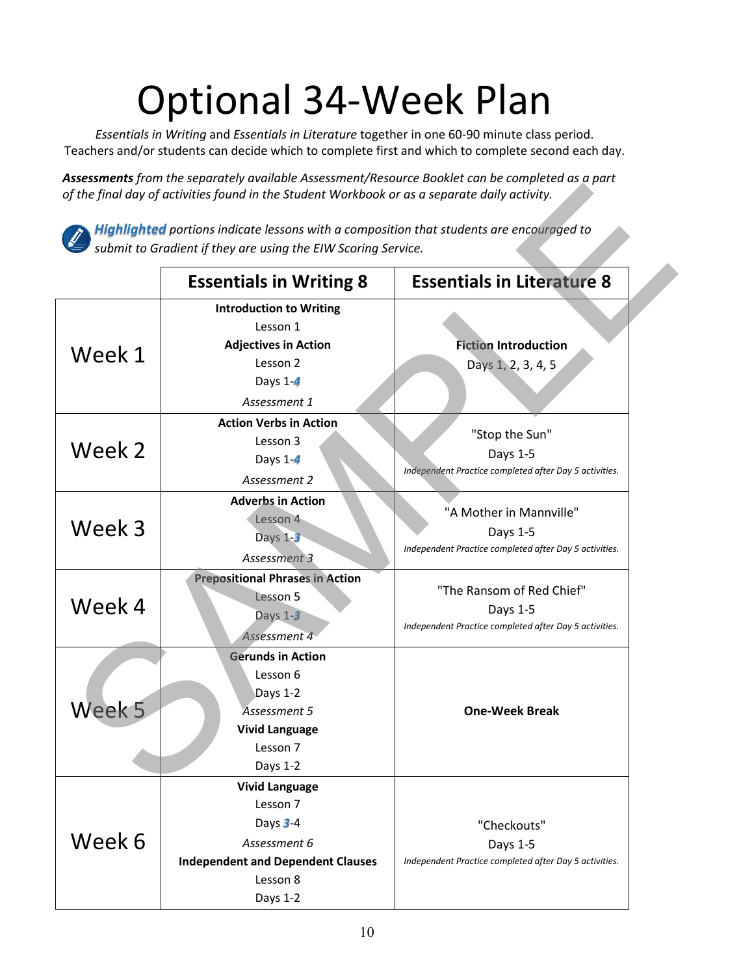## Optional 34-Week Plan

*Essentials in Writing* and *Essentials in Literature* together in one 60-90 minute class period. Teachers and/or students can decide which to complete first and which to complete second each day.

*Assessments from the separately available Assessment/Resource Booklet can be completed as a part of the final day of activities found in the Student Workbook or as a separate daily activity.*



|        | sinchio point the separately available rissessment, hesoaree bookiet can be com<br>of the final day of activities found in the Student Workbook or as a separate daily activity. |                                                                                                 |
|--------|----------------------------------------------------------------------------------------------------------------------------------------------------------------------------------|-------------------------------------------------------------------------------------------------|
|        | <b>Highlighted</b> portions indicate lessons with a composition that students are encouraged to<br>submit to Gradient if they are using the EIW Scoring Service.                 |                                                                                                 |
|        | <b>Essentials in Writing 8</b>                                                                                                                                                   | <b>Essentials in Literature 8</b>                                                               |
| Week 1 | <b>Introduction to Writing</b><br>Lesson 1<br><b>Adjectives in Action</b><br>Lesson 2<br>Days $1-4$<br>Assessment 1                                                              | <b>Fiction Introduction</b><br>Days 1, 2, 3, 4, 5                                               |
| Week 2 | <b>Action Verbs in Action</b><br>Lesson 3<br>Days 1-4<br>Assessment 2                                                                                                            | "Stop the Sun"<br>Days 1-5<br>Independent Practice completed after Day 5 activities.            |
| Week 3 | <b>Adverbs in Action</b><br>Lesson 4<br>Days $1-3$<br>Assessment 3                                                                                                               | "A Mother in Mannville"<br>Days 1-5<br>Independent Practice completed after Day 5 activities.   |
| Week 4 | <b>Prepositional Phrases in Action</b><br>Lesson 5<br>Days $1-3$<br>Assessment 4                                                                                                 | "The Ransom of Red Chief"<br>Days 1-5<br>Independent Practice completed after Day 5 activities. |
| Week 5 | <b>Gerunds in Action</b><br>Lesson 6<br>Days 1-2<br>Assessment 5<br><b>Vivid Language</b><br>Lesson 7<br>Days 1-2                                                                | <b>One-Week Break</b>                                                                           |
| Week 6 | <b>Vivid Language</b><br>Lesson 7<br>Days 3-4<br>Assessment 6<br><b>Independent and Dependent Clauses</b><br>Lesson 8<br>Days 1-2                                                | "Checkouts"<br>Days 1-5<br>Independent Practice completed after Day 5 activities.               |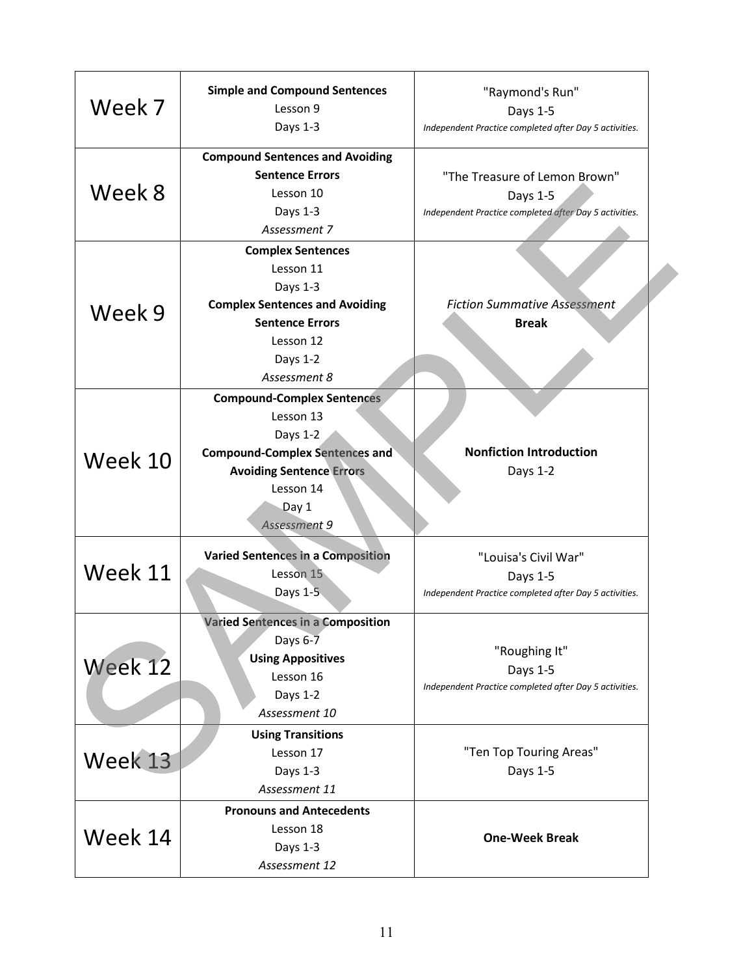| Week 7  | <b>Simple and Compound Sentences</b><br>Lesson 9<br>Days 1-3                                                                                                                 | "Raymond's Run"<br>Days 1-5<br>Independent Practice completed after Day 5 activities.               |
|---------|------------------------------------------------------------------------------------------------------------------------------------------------------------------------------|-----------------------------------------------------------------------------------------------------|
| Week 8  | <b>Compound Sentences and Avoiding</b><br><b>Sentence Errors</b><br>Lesson 10<br>Days 1-3<br>Assessment 7                                                                    | "The Treasure of Lemon Brown"<br>Days 1-5<br>Independent Practice completed after Day 5 activities. |
| Week 9  | <b>Complex Sentences</b><br>Lesson 11<br>Days 1-3<br><b>Complex Sentences and Avoiding</b><br><b>Sentence Errors</b><br>Lesson 12<br>Days 1-2<br>Assessment 8                | <b>Fiction Summative Assessment</b><br><b>Break</b>                                                 |
| Week 10 | <b>Compound-Complex Sentences</b><br>Lesson 13<br>Days 1-2<br><b>Compound-Complex Sentences and</b><br><b>Avoiding Sentence Errors</b><br>Lesson 14<br>Day 1<br>Assessment 9 | <b>Nonfiction Introduction</b><br>Days 1-2                                                          |
| Week 11 | <b>Varied Sentences in a Composition</b><br>Lesson 15<br>Days $1-\overline{5}$                                                                                               | "Louisa's Civil War"<br>Days 1-5<br>Independent Practice completed after Day 5 activities.          |
| Week 12 | <b>Varied Sentences in a Composition</b><br>Days $6-7$<br><b>Using Appositives</b><br>Lesson 16<br>Days 1-2<br>Assessment 10                                                 | "Roughing It"<br>Days 1-5<br>Independent Practice completed after Day 5 activities.                 |
| Week 13 | <b>Using Transitions</b><br>Lesson 17<br>Days 1-3<br>Assessment 11                                                                                                           | "Ten Top Touring Areas"<br>Days 1-5                                                                 |
| Week 14 | <b>Pronouns and Antecedents</b><br>Lesson 18<br>Days 1-3<br>Assessment 12                                                                                                    | <b>One-Week Break</b>                                                                               |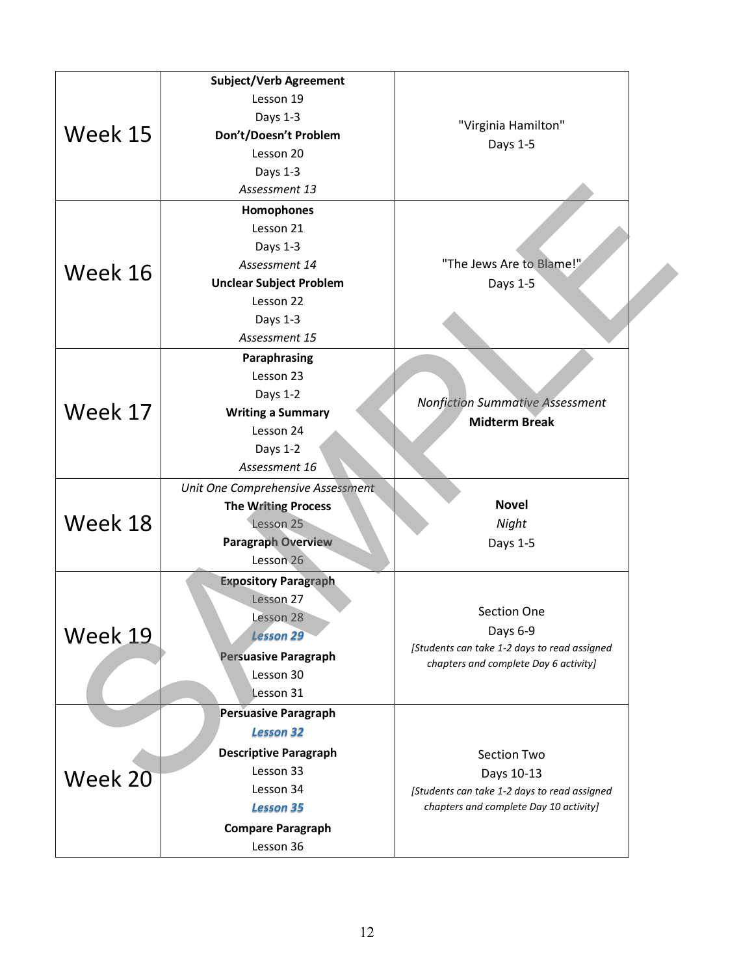| Week 15 | <b>Subject/Verb Agreement</b><br>Lesson 19<br>Days 1-3<br>Don't/Doesn't Problem<br>Lesson 20<br>Days 1-3<br>Assessment 13                                              | "Virginia Hamilton"<br>Days 1-5                                                                                     |
|---------|------------------------------------------------------------------------------------------------------------------------------------------------------------------------|---------------------------------------------------------------------------------------------------------------------|
| Week 16 | Homophones<br>Lesson 21<br>Days 1-3<br>Assessment 14<br><b>Unclear Subject Problem</b><br>Lesson 22<br>Days 1-3<br>Assessment 15                                       | "The Jews Are to Blame!"<br>Days 1-5                                                                                |
| Week 17 | Paraphrasing<br>Lesson 23<br>Days 1-2<br><b>Writing a Summary</b><br>Lesson 24<br>Days 1-2<br>Assessment 16                                                            | <b>Nonfiction Summative Assessment</b><br><b>Midterm Break</b>                                                      |
| Week 18 | Unit One Comprehensive Assessment<br><b>The Writing Process</b><br>Lesson 25<br><b>Paragraph Overview</b><br>Lesson 26                                                 | <b>Novel</b><br>Night<br>Days 1-5                                                                                   |
| Week 19 | <b>Expository Paragraph</b><br>Lesson 27<br>Lesson 28<br><b>Lesson 29</b><br><b>Persuasive Paragraph</b><br>Lesson 30<br>Lesson 31                                     | Section One<br>Days 6-9<br>[Students can take 1-2 days to read assigned<br>chapters and complete Day 6 activity]    |
| Week 20 | <b>Persuasive Paragraph</b><br><b>Lesson 32</b><br><b>Descriptive Paragraph</b><br>Lesson 33<br>Lesson 34<br><b>Lesson 35</b><br><b>Compare Paragraph</b><br>Lesson 36 | Section Two<br>Days 10-13<br>[Students can take 1-2 days to read assigned<br>chapters and complete Day 10 activity] |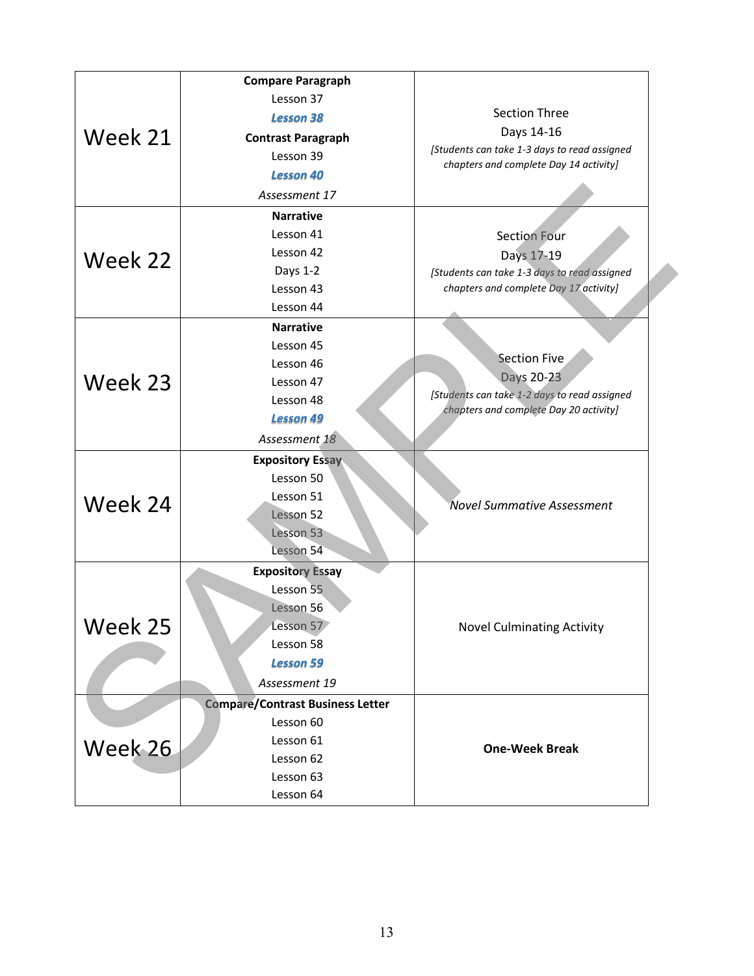| Week 21 | <b>Compare Paragraph</b>                |                                              |
|---------|-----------------------------------------|----------------------------------------------|
|         | Lesson 37                               |                                              |
|         | <b>Lesson 38</b>                        | <b>Section Three</b>                         |
|         | <b>Contrast Paragraph</b>               | Days 14-16                                   |
|         | Lesson 39                               | [Students can take 1-3 days to read assigned |
|         | <b>Lesson 40</b>                        | chapters and complete Day 14 activity]       |
|         | Assessment 17                           |                                              |
|         | <b>Narrative</b>                        |                                              |
|         | Lesson 41                               | <b>Section Four</b>                          |
| Week 22 | Lesson 42                               | Days 17-19                                   |
|         | Days 1-2                                | [Students can take 1-3 days to read assigned |
|         | Lesson 43                               | chapters and complete Day 17 activity]       |
|         | Lesson 44                               |                                              |
|         | <b>Narrative</b>                        |                                              |
| Week 23 | Lesson 45                               |                                              |
|         | Lesson 46                               | <b>Section Five</b>                          |
|         | Lesson 47                               | Days 20-23                                   |
|         | Lesson 48                               | [Students can take 1-2 days to read assigned |
|         | <b>Lesson 49</b>                        | chapters and complete Day 20 activity]       |
|         | Assessment 18                           |                                              |
|         | <b>Expository Essay</b>                 |                                              |
|         | Lesson 50                               |                                              |
| Week 24 | Lesson 51                               |                                              |
|         | Lesson 52                               | <b>Novel Summative Assessment</b>            |
|         | Lesson 53                               |                                              |
|         | Lesson 54                               |                                              |
|         | <b>Expository Essay</b>                 |                                              |
|         | Lesson 55                               |                                              |
| Week 25 | Lesson 56                               | <b>Novel Culminating Activity</b>            |
|         | Lesson 57                               |                                              |
|         | Lesson 58                               |                                              |
|         | <b>Lesson 59</b>                        |                                              |
|         | Assessment 19                           |                                              |
|         | <b>Compare/Contrast Business Letter</b> |                                              |
|         | Lesson 60                               |                                              |
| Week 26 | Lesson 61                               | <b>One-Week Break</b>                        |
|         | Lesson 62                               |                                              |
|         | Lesson 63                               |                                              |
|         | Lesson 64                               |                                              |